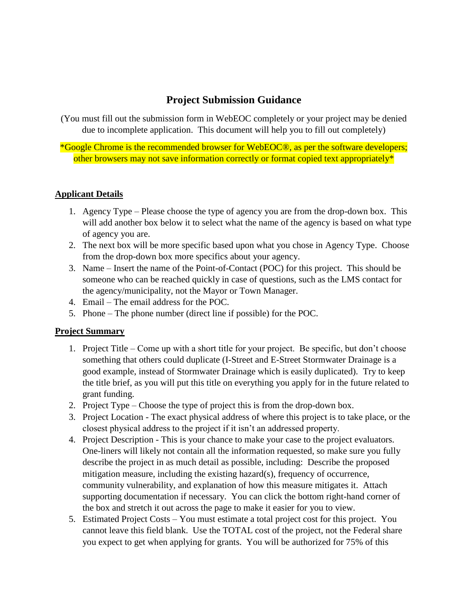# **Project Submission Guidance**

(You must fill out the submission form in WebEOC completely or your project may be denied due to incomplete application. This document will help you to fill out completely)

\*Google Chrome is the recommended browser for WebEOC®, as per the software developers; other browsers may not save information correctly or format copied text appropriately\*

#### **Applicant Details**

- 1. Agency Type Please choose the type of agency you are from the drop-down box. This will add another box below it to select what the name of the agency is based on what type of agency you are.
- 2. The next box will be more specific based upon what you chose in Agency Type. Choose from the drop-down box more specifics about your agency.
- 3. Name Insert the name of the Point-of-Contact (POC) for this project. This should be someone who can be reached quickly in case of questions, such as the LMS contact for the agency/municipality, not the Mayor or Town Manager.
- 4. Email The email address for the POC.
- 5. Phone The phone number (direct line if possible) for the POC.

### **Project Summary**

- 1. Project Title Come up with a short title for your project. Be specific, but don't choose something that others could duplicate (I-Street and E-Street Stormwater Drainage is a good example, instead of Stormwater Drainage which is easily duplicated). Try to keep the title brief, as you will put this title on everything you apply for in the future related to grant funding.
- 2. Project Type Choose the type of project this is from the drop-down box.
- 3. Project Location The exact physical address of where this project is to take place, or the closest physical address to the project if it isn't an addressed property.
- 4. Project Description This is your chance to make your case to the project evaluators. One-liners will likely not contain all the information requested, so make sure you fully describe the project in as much detail as possible, including: Describe the proposed mitigation measure, including the existing hazard(s), frequency of occurrence, community vulnerability, and explanation of how this measure mitigates it. Attach supporting documentation if necessary. You can click the bottom right-hand corner of the box and stretch it out across the page to make it easier for you to view.
- 5. Estimated Project Costs You must estimate a total project cost for this project. You cannot leave this field blank. Use the TOTAL cost of the project, not the Federal share you expect to get when applying for grants. You will be authorized for 75% of this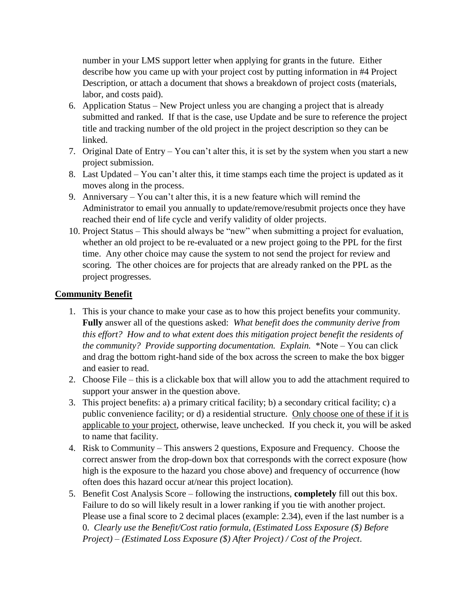number in your LMS support letter when applying for grants in the future. Either describe how you came up with your project cost by putting information in #4 Project Description, or attach a document that shows a breakdown of project costs (materials, labor, and costs paid).

- 6. Application Status New Project unless you are changing a project that is already submitted and ranked. If that is the case, use Update and be sure to reference the project title and tracking number of the old project in the project description so they can be linked.
- 7. Original Date of Entry You can't alter this, it is set by the system when you start a new project submission.
- 8. Last Updated You can't alter this, it time stamps each time the project is updated as it moves along in the process.
- 9. Anniversary You can't alter this, it is a new feature which will remind the Administrator to email you annually to update/remove/resubmit projects once they have reached their end of life cycle and verify validity of older projects.
- 10. Project Status This should always be "new" when submitting a project for evaluation, whether an old project to be re-evaluated or a new project going to the PPL for the first time. Any other choice may cause the system to not send the project for review and scoring. The other choices are for projects that are already ranked on the PPL as the project progresses.

### **Community Benefit**

- 1. This is your chance to make your case as to how this project benefits your community. **Fully** answer all of the questions asked: *What benefit does the community derive from this effort? How and to what extent does this mitigation project benefit the residents of the community? Provide supporting documentation. Explain.* \*Note – You can click and drag the bottom right-hand side of the box across the screen to make the box bigger and easier to read.
- 2. Choose File this is a clickable box that will allow you to add the attachment required to support your answer in the question above.
- 3. This project benefits: a) a primary critical facility; b) a secondary critical facility; c) a public convenience facility; or d) a residential structure. Only choose one of these if it is applicable to your project, otherwise, leave unchecked. If you check it, you will be asked to name that facility.
- 4. Risk to Community This answers 2 questions, Exposure and Frequency. Choose the correct answer from the drop-down box that corresponds with the correct exposure (how high is the exposure to the hazard you chose above) and frequency of occurrence (how often does this hazard occur at/near this project location).
- 5. Benefit Cost Analysis Score following the instructions, **completely** fill out this box. Failure to do so will likely result in a lower ranking if you tie with another project. Please use a final score to 2 decimal places (example: 2.34), even if the last number is a 0. *Clearly use the Benefit/Cost ratio formula, (Estimated Loss Exposure (\$) Before Project) – (Estimated Loss Exposure (\$) After Project) / Cost of the Project*.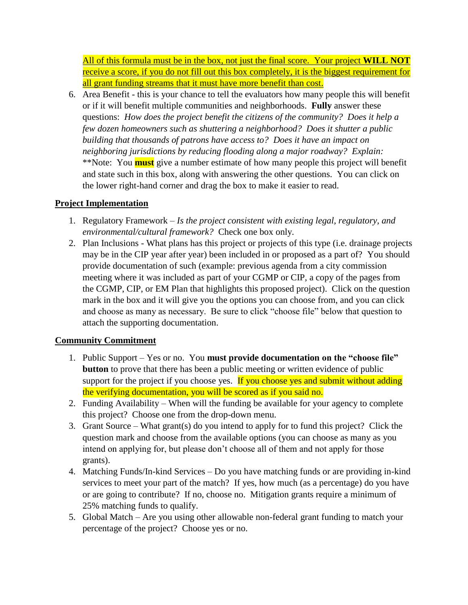All of this formula must be in the box, not just the final score. Your project **WILL NOT**  receive a score, if you do not fill out this box completely, it is the biggest requirement for all grant funding streams that it must have more benefit than cost.

6. Area Benefit - this is your chance to tell the evaluators how many people this will benefit or if it will benefit multiple communities and neighborhoods. **Fully** answer these questions: *How does the project benefit the citizens of the community? Does it help a few dozen homeowners such as shuttering a neighborhood? Does it shutter a public building that thousands of patrons have access to? Does it have an impact on neighboring jurisdictions by reducing flooding along a major roadway? Explain:* \*\*Note: You **must** give a number estimate of how many people this project will benefit and state such in this box, along with answering the other questions. You can click on the lower right-hand corner and drag the box to make it easier to read.

# **Project Implementation**

- 1. Regulatory Framework *Is the project consistent with existing legal, regulatory, and environmental/cultural framework?* Check one box only.
- 2. Plan Inclusions What plans has this project or projects of this type (i.e. drainage projects may be in the CIP year after year) been included in or proposed as a part of? You should provide documentation of such (example: previous agenda from a city commission meeting where it was included as part of your CGMP or CIP, a copy of the pages from the CGMP, CIP, or EM Plan that highlights this proposed project). Click on the question mark in the box and it will give you the options you can choose from, and you can click and choose as many as necessary. Be sure to click "choose file" below that question to attach the supporting documentation.

# **Community Commitment**

- 1. Public Support Yes or no. You **must provide documentation on the "choose file" button** to prove that there has been a public meeting or written evidence of public support for the project if you choose yes. If you choose yes and submit without adding the verifying documentation, you will be scored as if you said no.
- 2. Funding Availability When will the funding be available for your agency to complete this project? Choose one from the drop-down menu.
- 3. Grant Source What grant(s) do you intend to apply for to fund this project? Click the question mark and choose from the available options (you can choose as many as you intend on applying for, but please don't choose all of them and not apply for those grants).
- 4. Matching Funds/In-kind Services Do you have matching funds or are providing in-kind services to meet your part of the match? If yes, how much (as a percentage) do you have or are going to contribute? If no, choose no. Mitigation grants require a minimum of 25% matching funds to qualify.
- 5. Global Match Are you using other allowable non-federal grant funding to match your percentage of the project? Choose yes or no.